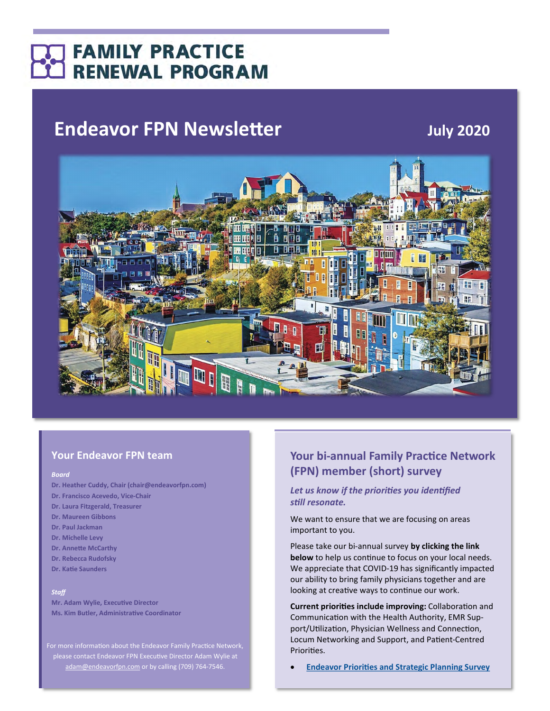# **FAMILY PRACTICE RENEWAL PROGRAM**

# **Endeavor FPN Newsletter** *July 2020*



## **Your Endeavor FPN team**

#### *Board*

- **Dr. Heather Cuddy, Chair (chair@endeavorfpn.com)**
- **Dr. Francisco Acevedo, Vice-Chair**
- **Dr. Laura Fitzgerald, Treasurer**
- **Dr. Maureen Gibbons**
- **Dr. Paul Jackman**
- **Dr. Michelle Levy**
- **Dr. Annette McCarthy**
- **Dr. Rebecca Rudofsky**
- **Dr. Katie Saunders**

### *Staff*

**Mr. Adam Wylie, Executive Director Ms. Kim Butler, Administrative Coordinator**

For more information about the Endeavor Family Practice Network, please contact Endeavor FPN Executive Director Adam Wylie at [adam@endeavorfpn.com](mailto:adam@endeavorfpn.com) or by calling (709) 764-7546.

## **Your bi-annual Family Practice Network (FPN) member (short) survey**

### *Let us know if the priorities you identified still resonate.*

We want to ensure that we are focusing on areas important to you.

Please take our bi-annual survey **by clicking the link below** to help us continue to focus on your local needs. We appreciate that COVID-19 has significantly impacted our ability to bring family physicians together and are looking at creative ways to continue our work.

**Current priorities include improving:** Collaboration and Communication with the Health Authority, EMR Support/Utilization, Physician Wellness and Connection, Locum Networking and Support, and Patient-Centred Priorities.

• **[Endeavor Priorities and Strategic Planning Survey](https://docs.google.com/forms/d/e/1FAIpQLSfSLkI-6iVHdozwHtHrlkgssc5e5j8I3o_eHyLKeli8o1YUWg/viewform?usp=sf_link)**